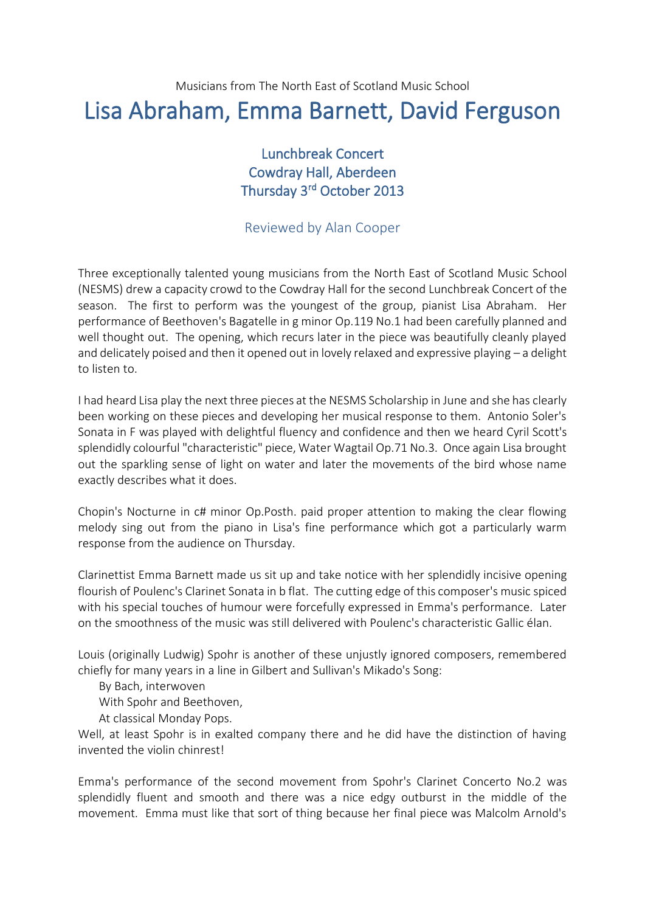Musicians from The North East of Scotland Music School

## Lisa Abraham, Emma Barnett, David Ferguson

Lunchbreak Concert Cowdray Hall, Aberdeen Thursday 3<sup>rd</sup> October 2013

## Reviewed by Alan Cooper

Three exceptionally talented young musicians from the North East of Scotland Music School (NESMS) drew a capacity crowd to the Cowdray Hall for the second Lunchbreak Concert of the season. The first to perform was the youngest of the group, pianist Lisa Abraham. Her performance of Beethoven's Bagatelle in g minor Op.119 No.1 had been carefully planned and well thought out. The opening, which recurs later in the piece was beautifully cleanly played and delicately poised and then it opened out in lovely relaxed and expressive playing – a delight to listen to.

I had heard Lisa play the next three pieces at the NESMS Scholarship in June and she has clearly been working on these pieces and developing her musical response to them. Antonio Soler's Sonata in F was played with delightful fluency and confidence and then we heard Cyril Scott's splendidly colourful "characteristic" piece, Water Wagtail Op.71 No.3. Once again Lisa brought out the sparkling sense of light on water and later the movements of the bird whose name exactly describes what it does.

Chopin's Nocturne in c# minor Op.Posth. paid proper attention to making the clear flowing melody sing out from the piano in Lisa's fine performance which got a particularly warm response from the audience on Thursday.

Clarinettist Emma Barnett made us sit up and take notice with her splendidly incisive opening flourish of Poulenc's Clarinet Sonata in b flat. The cutting edge of this composer's music spiced with his special touches of humour were forcefully expressed in Emma's performance. Later on the smoothness of the music was still delivered with Poulenc's characteristic Gallic élan.

Louis (originally Ludwig) Spohr is another of these unjustly ignored composers, remembered chiefly for many years in a line in Gilbert and Sullivan's Mikado's Song:

By Bach, interwoven

With Spohr and Beethoven,

At classical Monday Pops.

Well, at least Spohr is in exalted company there and he did have the distinction of having invented the violin chinrest!

Emma's performance of the second movement from Spohr's Clarinet Concerto No.2 was splendidly fluent and smooth and there was a nice edgy outburst in the middle of the movement. Emma must like that sort of thing because her final piece was Malcolm Arnold's